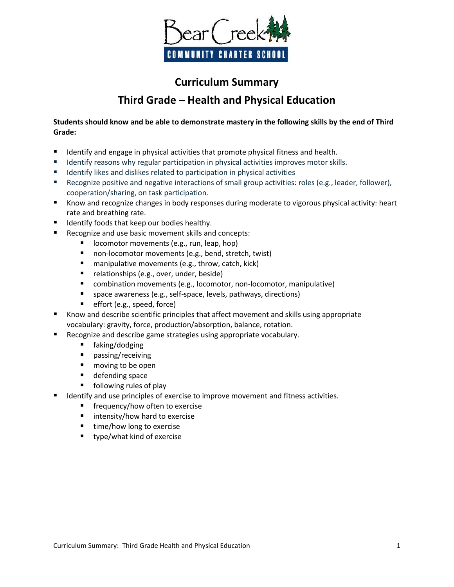

## **Curriculum Summary Third Grade – Health and Physical Education**

**Students should know and be able to demonstrate mastery in the following skills by the end of Third Grade:**

- Identify and engage in physical activities that promote physical fitness and health.
- **IDENTIFY 11** Identify reasons why regular participation in physical activities improves motor skills.
- Identify likes and dislikes related to participation in physical activities
- **Recognize positive and negative interactions of small group activities: roles (e.g., leader, follower),** cooperation/sharing, on task participation.
- Know and recognize changes in body responses during moderate to vigorous physical activity: heart rate and breathing rate.
- Identify foods that keep our bodies healthy.
- Recognize and use basic movement skills and concepts:
	- locomotor movements (e.g., run, leap, hop)
	- non-locomotor movements (e.g., bend, stretch, twist)
	- $\blacksquare$  manipulative movements (e.g., throw, catch, kick)
	- relationships (e.g., over, under, beside)
	- combination movements (e.g., locomotor, non-locomotor, manipulative)
	- space awareness (e.g., self-space, levels, pathways, directions)
	- $\blacksquare$  effort (e.g., speed, force)
- Know and describe scientific principles that affect movement and skills using appropriate vocabulary: gravity, force, production/absorption, balance, rotation.
- Recognize and describe game strategies using appropriate vocabulary.
	- faking/dodging
	- **n** passing/receiving
	- moving to be open
	- defending space
	- **following rules of play**
- Identify and use principles of exercise to improve movement and fitness activities.
	- **F** frequency/how often to exercise
	- **I** intensity/how hard to exercise
	- $\blacksquare$  time/how long to exercise
	- **u** type/what kind of exercise